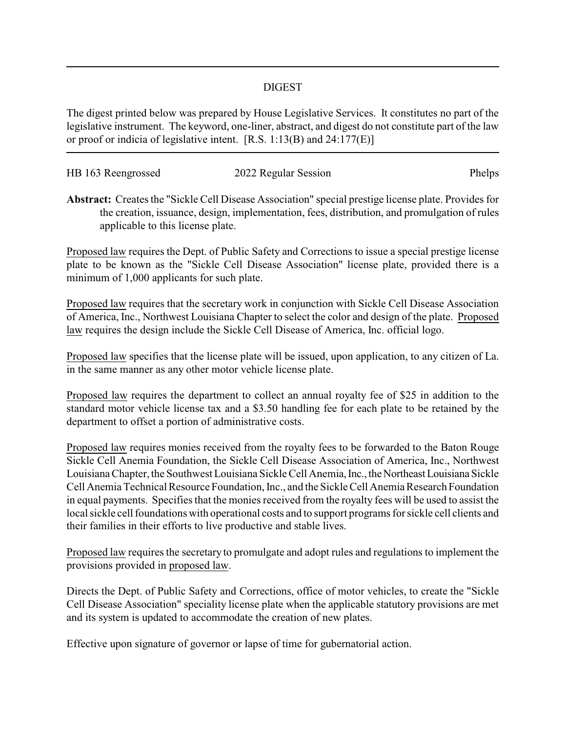## DIGEST

The digest printed below was prepared by House Legislative Services. It constitutes no part of the legislative instrument. The keyword, one-liner, abstract, and digest do not constitute part of the law or proof or indicia of legislative intent. [R.S. 1:13(B) and 24:177(E)]

| HB 163 Reengrossed | 2022 Regular Session | Phelps |
|--------------------|----------------------|--------|
|                    |                      |        |

**Abstract:** Creates the "Sickle Cell Disease Association" special prestige license plate. Provides for the creation, issuance, design, implementation, fees, distribution, and promulgation of rules applicable to this license plate.

Proposed law requires the Dept. of Public Safety and Corrections to issue a special prestige license plate to be known as the "Sickle Cell Disease Association" license plate, provided there is a minimum of 1,000 applicants for such plate.

Proposed law requires that the secretary work in conjunction with Sickle Cell Disease Association of America, Inc., Northwest Louisiana Chapter to select the color and design of the plate. Proposed law requires the design include the Sickle Cell Disease of America, Inc. official logo.

Proposed law specifies that the license plate will be issued, upon application, to any citizen of La. in the same manner as any other motor vehicle license plate.

Proposed law requires the department to collect an annual royalty fee of \$25 in addition to the standard motor vehicle license tax and a \$3.50 handling fee for each plate to be retained by the department to offset a portion of administrative costs.

Proposed law requires monies received from the royalty fees to be forwarded to the Baton Rouge Sickle Cell Anemia Foundation, the Sickle Cell Disease Association of America, Inc., Northwest Louisiana Chapter, the Southwest Louisiana Sickle Cell Anemia, Inc., the Northeast Louisiana Sickle Cell Anemia Technical Resource Foundation, Inc., and the Sickle Cell Anemia Research Foundation in equal payments. Specifies that the monies received from the royalty fees will be used to assist the local sickle cell foundations with operational costs and to support programs for sickle cell clients and their families in their efforts to live productive and stable lives.

Proposed law requires the secretary to promulgate and adopt rules and regulations to implement the provisions provided in proposed law.

Directs the Dept. of Public Safety and Corrections, office of motor vehicles, to create the "Sickle Cell Disease Association" speciality license plate when the applicable statutory provisions are met and its system is updated to accommodate the creation of new plates.

Effective upon signature of governor or lapse of time for gubernatorial action.